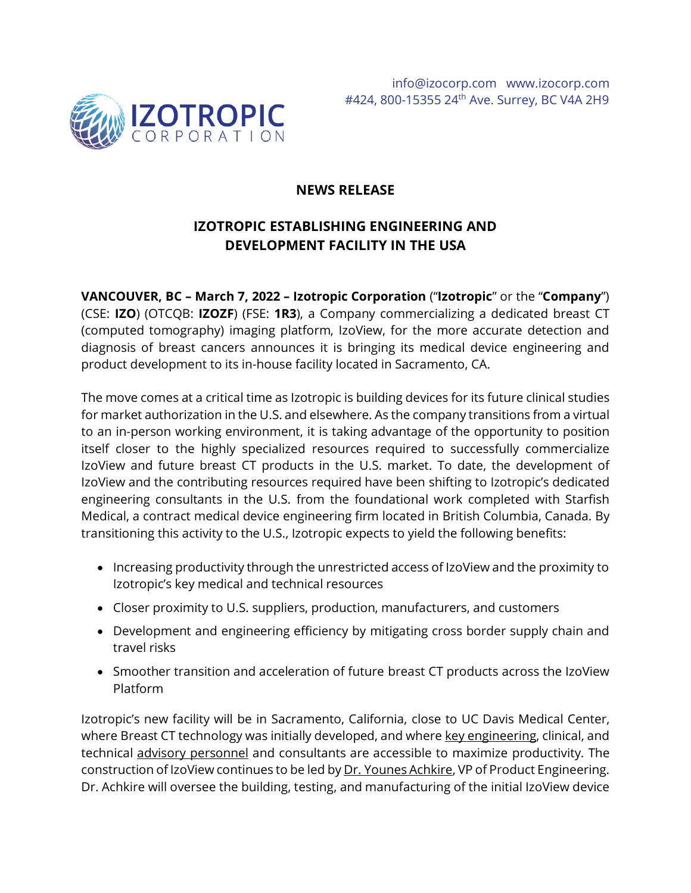

## **NEWS RELEASE**

# **IZOTROPIC ESTABLISHING ENGINEERING AND DEVELOPMENT FACILITY IN THE USA**

**VANCOUVER, BC – March 7, 2022 – Izotropic Corporation** ("**Izotropic**" or the "**Company**") (CSE: **IZO**) (OTCQB: **IZOZF**) (FSE: **1R3**), a Company commercializing a dedicated breast CT (computed tomography) imaging platform, IzoView, for the more accurate detection and diagnosis of breast cancers announces it is bringing its medical device engineering and product development to its in-house facility located in Sacramento, CA.

The move comes at a critical time as Izotropic is building devices for its future clinical studies for market authorization in the U.S. and elsewhere. As the company transitions from a virtual to an in-person working environment, it is taking advantage of the opportunity to position itself closer to the highly specialized resources required to successfully commercialize IzoView and future breast CT products in the U.S. market. To date, the development of IzoView and the contributing resources required have been shifting to Izotropic's dedicated engineering consultants in the U.S. from the foundational work completed with Starfish Medical, a contract medical device engineering firm located in British Columbia, Canada. By transitioning this activity to the U.S., Izotropic expects to yield the following benefits:

- Increasing productivity through the unrestricted access of IzoView and the proximity to Izotropic's key medical and technical resources
- Closer proximity to U.S. suppliers, production, manufacturers, and customers
- Development and engineering efficiency by mitigating cross border supply chain and travel risks
- Smoother transition and acceleration of future breast CT products across the IzoView Platform

Izotropic's new facility will be in Sacramento, California, close to UC Davis Medical Center, where Breast CT technology was initially developed, and where [key engineering,](https://izocorp.com/investors/management/) clinical, and technical [advisory personnel](https://izocorp.com/investors/advisors/) and consultants are accessible to maximize productivity. The construction of IzoView continues to be led by [Dr. Younes Achkire,](https://izocorp.com/news-releases/izotropic-appoints-medical-device-r-d-expert-as-executive-vp-of-product-engineering/) VP of Product Engineering. Dr. Achkire will oversee the building, testing, and manufacturing of the initial IzoView device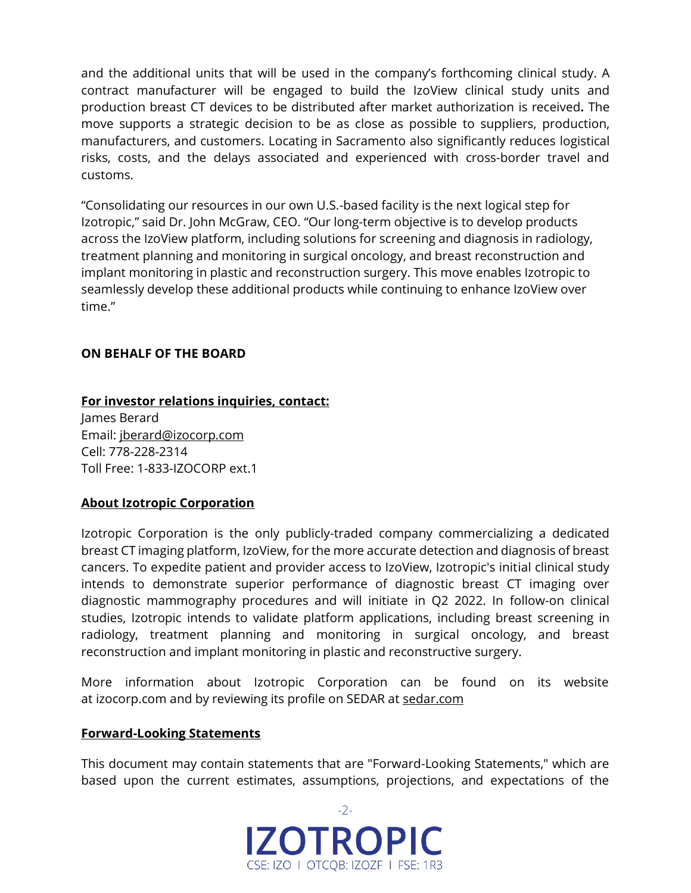and the additional units that will be used in the company's forthcoming clinical study. A contract manufacturer will be engaged to build the IzoView clinical study units and production breast CT devices to be distributed after market authorization is received**.** The move supports a strategic decision to be as close as possible to suppliers, production, manufacturers, and customers. Locating in Sacramento also significantly reduces logistical risks, costs, and the delays associated and experienced with cross-border travel and customs.

"Consolidating our resources in our own U.S.-based facility is the next logical step for Izotropic," said Dr. John McGraw, CEO. "Our long-term objective is to develop products across the IzoView platform, including solutions for screening and diagnosis in radiology, treatment planning and monitoring in surgical oncology, and breast reconstruction and implant monitoring in plastic and reconstruction surgery. This move enables Izotropic to seamlessly develop these additional products while continuing to enhance IzoView over time."

### **ON BEHALF OF THE BOARD**

### **For investor relations inquiries, contact:**

James Berard Email: [jberard@izocorp.com](mailto:jberard@izocorp.com) Cell: 778-228-2314 Toll Free: 1-833-IZOCORP ext.1

### **About Izotropic Corporation**

Izotropic Corporation is the only publicly-traded company commercializing a dedicated breast CT imaging platform, IzoView, for the more accurate detection and diagnosis of breast cancers. To expedite patient and provider access to IzoView, Izotropic's initial clinical study intends to demonstrate superior performance of diagnostic breast CT imaging over diagnostic mammography procedures and will initiate in Q2 2022. In follow-on clinical studies, Izotropic intends to validate platform applications, including breast screening in radiology, treatment planning and monitoring in surgical oncology, and breast reconstruction and implant monitoring in plastic and reconstructive surgery.

More information about Izotropic Corporation can be found on its website at [izocorp.com](https://izocorp.com/) and by reviewing its profile on SEDAR at [sedar.com](https://www.sedar.com/DisplayProfile.do?lang=EN&issuerType=03&issuerNo=00044761)

### **Forward-Looking Statements**

This document may contain statements that are "Forward-Looking Statements," which are based upon the current estimates, assumptions, projections, and expectations of the